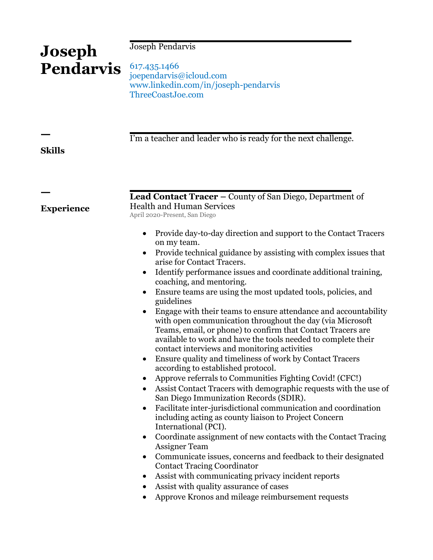# Joseph Pendarvis

# 617.435.1466 joependarvis@icloud.com www.linkedin.com/in/joseph-pendarvis ThreeCoastJoe.com

I'm a teacher and leader who is ready for the next challenge.

## **Skills**

ㅡ

ㅡ

**Experience**

**Joseph** 

**Pendarvis**

**Lead Contact Tracer –** County of San Diego, Department of Health and Human Services April 2020-Present, San Diego

- Provide day-to-day direction and support to the Contact Tracers on my team.
- Provide technical guidance by assisting with complex issues that arise for Contact Tracers.
- Identify performance issues and coordinate additional training, coaching, and mentoring.
- Ensure teams are using the most updated tools, policies, and guidelines
- Engage with their teams to ensure attendance and accountability with open communication throughout the day (via Microsoft Teams, email, or phone) to confirm that Contact Tracers are available to work and have the tools needed to complete their contact interviews and monitoring activities
- Ensure quality and timeliness of work by Contact Tracers according to established protocol.
- Approve referrals to Communities Fighting Covid! (CFC!)
- Assist Contact Tracers with demographic requests with the use of San Diego Immunization Records (SDIR).
- Facilitate inter-jurisdictional communication and coordination including acting as county liaison to Project Concern International (PCI).
- Coordinate assignment of new contacts with the Contact Tracing Assigner Team
- Communicate issues, concerns and feedback to their designated Contact Tracing Coordinator
- Assist with communicating privacy incident reports
- Assist with quality assurance of cases
- Approve Kronos and mileage reimbursement requests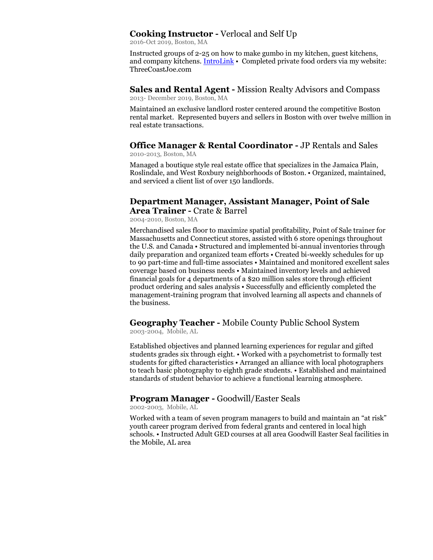## **Cooking Instructor -** Verlocal and Self Up

2016-Oct 2019, Boston, MA

Instructed groups of 2-25 on how to make gumbo in my kitchen, guest kitchens, and company kitchens[. IntroLink](https://selfup.com/Joe-Pendarvis/) • Completed private food orders via my website: ThreeCoastJoe.com

**Sales and Rental Agent -** Mission Realty Advisors and Compass 2013- December 2019, Boston, MA

Maintained an exclusive landlord roster centered around the competitive Boston rental market. Represented buyers and sellers in Boston with over twelve million in real estate transactions.

#### **Office Manager & Rental Coordinator -** JP Rentals and Sales 2010-2013, Boston, MA

Managed a boutique style real estate office that specializes in the Jamaica Plain, Roslindale, and West Roxbury neighborhoods of Boston. • Organized, maintained, and serviced a client list of over 150 landlords.

## **Department Manager, Assistant Manager, Point of Sale Area Trainer -** Crate & Barrel

2004-2010, Boston, MA

Merchandised sales floor to maximize spatial profitability, Point of Sale trainer for Massachusetts and Connecticut stores, assisted with 6 store openings throughout the U.S. and Canada • Structured and implemented bi-annual inventories through daily preparation and organized team efforts • Created bi-weekly schedules for up to 90 part-time and full-time associates • Maintained and monitored excellent sales coverage based on business needs • Maintained inventory levels and achieved financial goals for 4 departments of a \$20 million sales store through efficient product ordering and sales analysis • Successfully and efficiently completed the management-training program that involved learning all aspects and channels of the business.

# **Geography Teacher -** Mobile County Public School System

2003-2004, Mobile, AL

Established objectives and planned learning experiences for regular and gifted students grades six through eight. • Worked with a psychometrist to formally test students for gifted characteristics • Arranged an alliance with local photographers to teach basic photography to eighth grade students. • Established and maintained standards of student behavior to achieve a functional learning atmosphere.

## **Program Manager -** Goodwill/Easter Seals

2002-2003, Mobile, AL

Worked with a team of seven program managers to build and maintain an "at risk" youth career program derived from federal grants and centered in local high schools. • Instructed Adult GED courses at all area Goodwill Easter Seal facilities in the Mobile, AL area